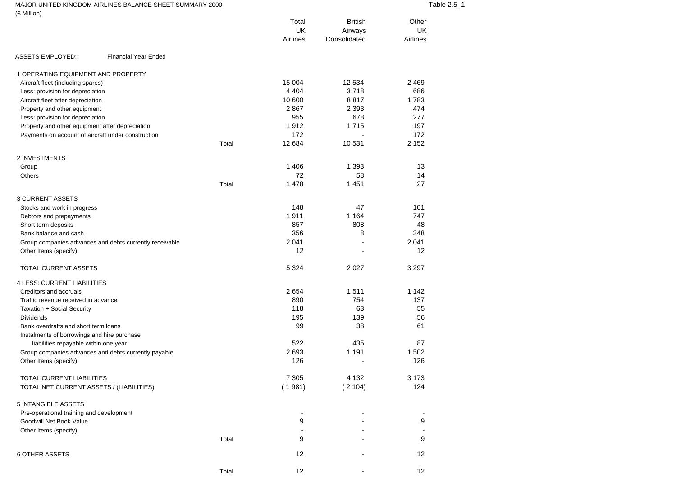| MAJOR UNITED KINGDOM AIRLINES BALANCE SHEET SUMMARY 2000 | able 2.5 |
|----------------------------------------------------------|----------|
| (0.8499)                                                 |          |

| (£ Million)                                             |       | Total                 | <b>British</b>          | Other                 |
|---------------------------------------------------------|-------|-----------------------|-------------------------|-----------------------|
|                                                         |       | <b>UK</b><br>Airlines | Airways<br>Consolidated | <b>UK</b><br>Airlines |
| <b>ASSETS EMPLOYED:</b><br><b>Financial Year Ended</b>  |       |                       |                         |                       |
| 1 OPERATING EQUIPMENT AND PROPERTY                      |       |                       |                         |                       |
| Aircraft fleet (including spares)                       |       | 15 004                | 12 5 34                 | 2 4 6 9               |
| Less: provision for depreciation                        |       | 4 4 0 4               | 3718                    | 686                   |
| Aircraft fleet after depreciation                       |       | 10 600                | 8817                    | 1783                  |
| Property and other equipment                            |       | 2867                  | 2 3 9 3                 | 474                   |
| Less: provision for depreciation                        |       | 955                   | 678                     | 277                   |
| Property and other equipment after depreciation         |       | 1912                  | 1715                    | 197                   |
| Payments on account of aircraft under construction      |       | 172                   | ٠                       | 172                   |
|                                                         | Total | 12 684                | 10531                   | 2 1 5 2               |
| 2 INVESTMENTS                                           |       |                       |                         |                       |
| Group                                                   |       | 1 4 0 6               | 1 3 9 3                 | 13                    |
| <b>Others</b>                                           |       | 72                    | 58                      | 14                    |
|                                                         | Total | 1 4 7 8               | 1451                    | 27                    |
| <b>3 CURRENT ASSETS</b>                                 |       | 148                   | 47                      | 101                   |
| Stocks and work in progress<br>Debtors and prepayments  |       | 1911                  | 1 1 6 4                 | 747                   |
| Short term deposits                                     |       | 857                   | 808                     | 48                    |
| Bank balance and cash                                   |       | 356                   | 8                       | 348                   |
| Group companies advances and debts currently receivable |       | 2041                  |                         | 2 0 4 1               |
| Other Items (specify)                                   |       | 12                    | L,                      | 12                    |
| TOTAL CURRENT ASSETS                                    |       | 5 3 2 4               | 2 0 2 7                 | 3 2 9 7               |
| <b>4 LESS: CURRENT LIABILITIES</b>                      |       |                       |                         |                       |
| Creditors and accruals                                  |       | 2654                  | 1511                    | 1 1 4 2               |
| Traffic revenue received in advance                     |       | 890                   | 754                     | 137                   |
| Taxation + Social Security                              |       | 118                   | 63                      | 55                    |
| <b>Dividends</b>                                        |       | 195                   | 139                     | 56                    |
| Bank overdrafts and short term loans                    |       | 99                    | 38                      | 61                    |
| Instalments of borrowings and hire purchase             |       |                       |                         |                       |
| liabilities repayable within one year                   |       | 522                   | 435                     | 87                    |
| Group companies advances and debts currently payable    |       | 2693                  | 1 1 9 1                 | 1502                  |
| Other Items (specify)                                   |       | 126                   | Ĭ.                      | 126                   |
| TOTAL CURRENT LIABILITIES                               |       | 7 3 0 5               | 4 1 3 2                 | 3 173                 |
| TOTAL NET CURRENT ASSETS / (LIABILITIES)                |       | (1981)                | (2104)                  | 124                   |
| 5 INTANGIBLE ASSETS                                     |       |                       |                         |                       |
| Pre-operational training and development                |       |                       |                         |                       |
| Goodwill Net Book Value                                 |       | 9                     |                         | 9                     |
| Other Items (specify)                                   |       |                       |                         |                       |
|                                                         | Total | 9                     |                         | 9                     |
| <b>6 OTHER ASSETS</b>                                   |       | 12                    |                         | 12                    |
|                                                         | Total | 12                    |                         | 12                    |